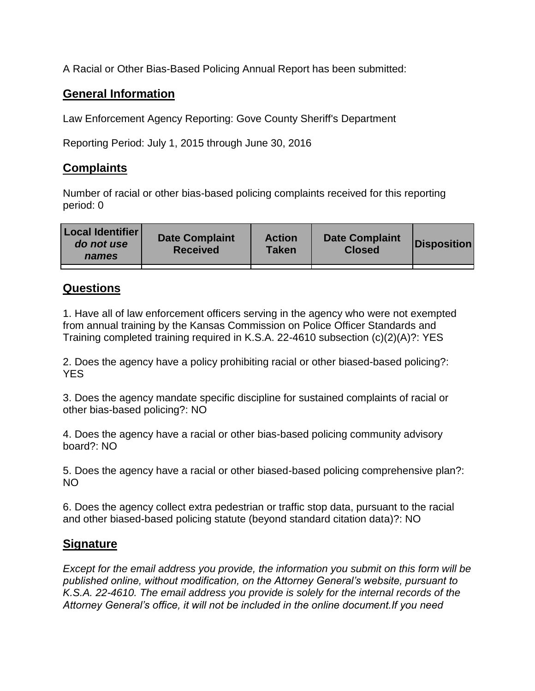A Racial or Other Bias-Based Policing Annual Report has been submitted:

## **General Information**

Law Enforcement Agency Reporting: Gove County Sheriff's Department

Reporting Period: July 1, 2015 through June 30, 2016

## **Complaints**

Number of racial or other bias-based policing complaints received for this reporting period: 0

| <b>Local Identifier</b><br>do not use<br>names | <b>Date Complaint</b><br><b>Received</b> | <b>Action</b><br><b>Taken</b> | <b>Date Complaint</b><br><b>Closed</b> | Disposition |
|------------------------------------------------|------------------------------------------|-------------------------------|----------------------------------------|-------------|
|                                                |                                          |                               |                                        |             |

## **Questions**

1. Have all of law enforcement officers serving in the agency who were not exempted from annual training by the Kansas Commission on Police Officer Standards and Training completed training required in K.S.A. 22-4610 subsection (c)(2)(A)?: YES

2. Does the agency have a policy prohibiting racial or other biased-based policing?: YES

3. Does the agency mandate specific discipline for sustained complaints of racial or other bias-based policing?: NO

4. Does the agency have a racial or other bias-based policing community advisory board?: NO

5. Does the agency have a racial or other biased-based policing comprehensive plan?: NO

6. Does the agency collect extra pedestrian or traffic stop data, pursuant to the racial and other biased-based policing statute (beyond standard citation data)?: NO

## **Signature**

*Except for the email address you provide, the information you submit on this form will be published online, without modification, on the Attorney General's website, pursuant to K.S.A. 22-4610. The email address you provide is solely for the internal records of the Attorney General's office, it will not be included in the online document.If you need*